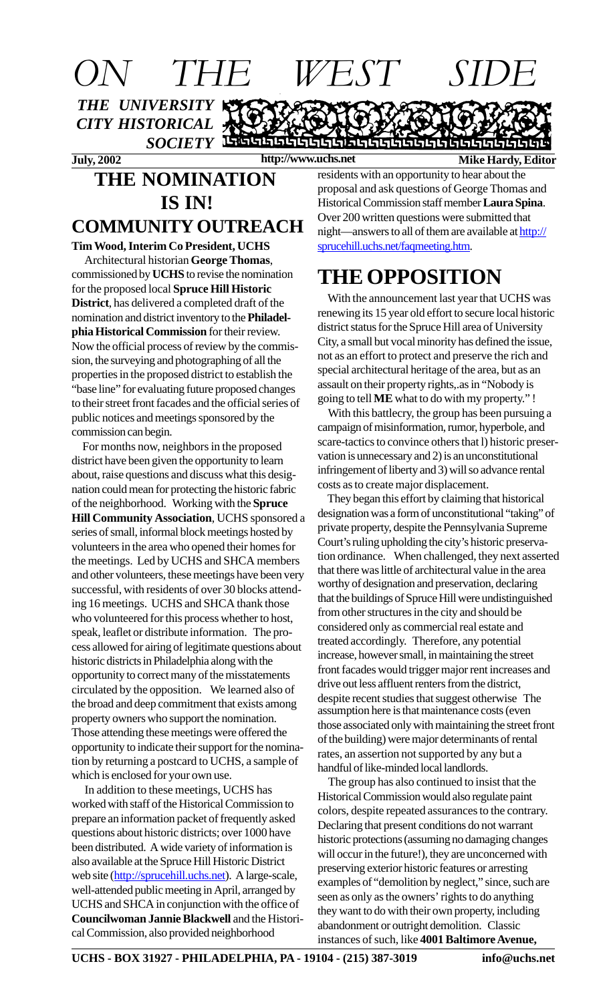

#### **THE NOMINATION IS IN! COMMUNITY OUTREACH**

#### **Tim Wood, Interim Co President, UCHS**

 Architectural historian **George Thomas**, commissioned by **UCHS** to revise the nomination for the proposed local **Spruce Hill Historic District**, has delivered a completed draft of the nomination and district inventory to the **Philadelphia Historical Commission** for their review. Now the official process of review by the commission, the surveying and photographing of all the properties in the proposed district to establish the "base line" for evaluating future proposed changes to their street front facades and the official series of public notices and meetings sponsored by the commission can begin.

 For months now, neighbors in the proposed district have been given the opportunity to learn about, raise questions and discuss what this designation could mean for protecting the historic fabric of the neighborhood. Working with the **Spruce Hill Community Association**, UCHS sponsored a series of small, informal block meetings hosted by volunteers in the area who opened their homes for the meetings. Led by UCHS and SHCA members and other volunteers, these meetings have been very successful, with residents of over 30 blocks attending 16 meetings. UCHS and SHCA thank those who volunteered for this process whether to host, speak, leaflet or distribute information. The process allowed for airing of legitimate questions about historic districts in Philadelphia along with the opportunity to correct many of the misstatements circulated by the opposition. We learned also of the broad and deep commitment that exists among property owners who support the nomination. Those attending these meetings were offered the opportunity to indicate their support for the nomination by returning a postcard to UCHS, a sample of which is enclosed for your own use.

 In addition to these meetings, UCHS has worked with staff of the Historical Commission to prepare an information packet of frequently asked questions about historic districts; over 1000 have been distributed. A wide variety of information is also available at the Spruce Hill Historic District web site (http://sprucehill.uchs.net). A large-scale, well-attended public meeting in April, arranged by UCHS and SHCA in conjunction with the office of **Councilwoman Jannie Blackwell** and the Historical Commission, also provided neighborhood

residents with an opportunity to hear about the proposal and ask questions of George Thomas and Historical Commission staff member **Laura Spina**. Over 200 written questions were submitted that night—answers to all of them are available at http:// sprucehill.uchs.net/faqmeeting.htm.

# **THE OPPOSITION**

 With the announcement last year that UCHS was renewing its 15 year old effort to secure local historic district status for the Spruce Hill area of University City, a small but vocal minority has defined the issue, not as an effort to protect and preserve the rich and special architectural heritage of the area, but as an assault on their property rights,.as in "Nobody is going to tell **ME** what to do with my property." !

 With this battlecry, the group has been pursuing a campaign of misinformation, rumor, hyperbole, and scare-tactics to convince others that l) historic preservation is unnecessary and 2) is an unconstitutional infringement of liberty and 3) will so advance rental costs as to create major displacement.

 They began this effort by claiming that historical designation was a form of unconstitutional "taking" of private property, despite the Pennsylvania Supreme Court's ruling upholding the city's historic preservation ordinance. When challenged, they next asserted that there was little of architectural value in the area worthy of designation and preservation, declaring that the buildings of Spruce Hill were undistinguished from other structures in the city and should be considered only as commercial real estate and treated accordingly. Therefore, any potential increase, however small, in maintaining the street front facades would trigger major rent increases and drive out less affluent renters from the district, despite recent studies that suggest otherwise The assumption here is that maintenance costs (even those associated only with maintaining the street front of the building) were major determinants of rental rates, an assertion not supported by any but a handful of like-minded local landlords.

 The group has also continued to insist that the Historical Commission would also regulate paint colors, despite repeated assurances to the contrary. Declaring that present conditions do not warrant historic protections (assuming no damaging changes will occur in the future!), they are unconcerned with preserving exterior historic features or arresting examples of "demolition by neglect," since, such are seen as only as the owners' rights to do anything they want to do with their own property, including abandonment or outright demolition. Classic instances of such, like **4001 Baltimore Avenue,**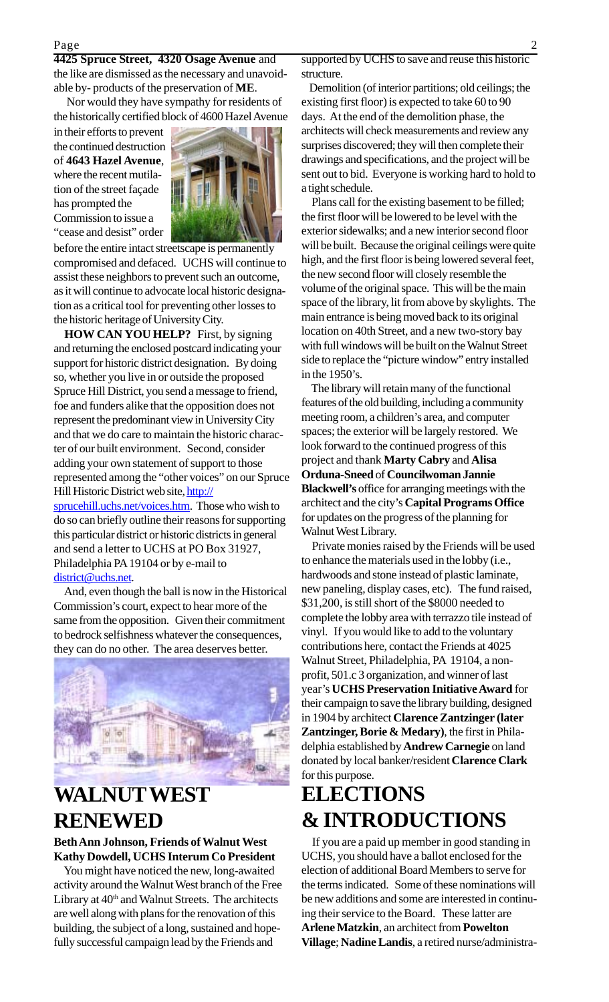**4425 Spruce Street, 4320 Osage Avenue** and the like are dismissed as the necessary and unavoidable by- products of the preservation of **ME**.

 Nor would they have sympathy for residents of the historically certified block of 4600 Hazel Avenue

in their efforts to prevent the continued destruction of **4643 Hazel Avenue**, where the recent mutilation of the street façade has prompted the Commission to issue a "cease and desist" order



before the entire intact streetscape is permanently compromised and defaced. UCHS will continue to assist these neighbors to prevent such an outcome, as it will continue to advocate local historic designation as a critical tool for preventing other losses to the historic heritage of University City.

 **HOW CAN YOU HELP?** First, by signing and returning the enclosed postcard indicating your support for historic district designation. By doing so, whether you live in or outside the proposed Spruce Hill District, you send a message to friend, foe and funders alike that the opposition does not represent the predominant view in University City and that we do care to maintain the historic character of our built environment. Second, consider adding your own statement of support to those represented among the "other voices" on our Spruce Hill Historic District web site, http://

sprucehill.uchs.net/voices.htm. Those who wish to do so can briefly outline their reasons for supporting this particular district or historic districts in general and send a letter to UCHS at PO Box 31927, Philadelphia PA 19104 or by e-mail to district@uchs.net.

 And, even though the ball is now in the Historical Commission's court, expect to hear more of the same from the opposition. Given their commitment to bedrock selfishness whatever the consequences, they can do no other. The area deserves better.



## **WALNUT WEST RENEWED**

#### **Beth Ann Johnson, Friends of Walnut West Kathy Dowdell, UCHS Interum Co President**

 You might have noticed the new, long-awaited activity around the Walnut West branch of the Free Library at 40<sup>th</sup> and Walnut Streets. The architects are well along with plans for the renovation of this building, the subject of a long, sustained and hopefully successful campaign lead by the Friends and

supported by UCHS to save and reuse this historic structure.

 Demolition (of interior partitions; old ceilings; the existing first floor) is expected to take 60 to 90 days. At the end of the demolition phase, the architects will check measurements and review any surprises discovered; they will then complete their drawings and specifications, and the project will be sent out to bid. Everyone is working hard to hold to a tight schedule.

 Plans call for the existing basement to be filled; the first floor will be lowered to be level with the exterior sidewalks; and a new interior second floor will be built. Because the original ceilings were quite high, and the first floor is being lowered several feet, the new second floor will closely resemble the volume of the original space. This will be the main space of the library, lit from above by skylights. The main entrance is being moved back to its original location on 40th Street, and a new two-story bay with full windows will be built on the Walnut Street side to replace the "picture window" entry installed in the 1950's.

 The library will retain many of the functional features of the old building, including a community meeting room, a children's area, and computer spaces; the exterior will be largely restored. We look forward to the continued progress of this project and thank **Marty Cabry** and **Alisa Orduna-Sneed** of **Councilwoman Jannie Blackwell's** office for arranging meetings with the architect and the city's **Capital Programs Office** for updates on the progress of the planning for Walnut West Library.

 Private monies raised by the Friends will be used to enhance the materials used in the lobby (i.e., hardwoods and stone instead of plastic laminate, new paneling, display cases, etc). The fund raised, \$31,200, is still short of the \$8000 needed to complete the lobby area with terrazzo tile instead of vinyl. If you would like to add to the voluntary contributions here, contact the Friends at 4025 Walnut Street, Philadelphia, PA 19104, a nonprofit, 501.c 3 organization, and winner of last year's **UCHS Preservation Initiative Award** for their campaign to save the library building, designed in 1904 by architect **Clarence Zantzinger (later Zantzinger, Borie & Medary)**, the first in Philadelphia established by **Andrew Carnegie** on land donated by local banker/resident **Clarence Clark** for this purpose.

## **ELECTIONS & INTRODUCTIONS**

 If you are a paid up member in good standing in UCHS, you should have a ballot enclosed for the election of additional Board Members to serve for the terms indicated. Some of these nominations will be new additions and some are interested in continuing their service to the Board. These latter are **Arlene Matzkin**, an architect from **Powelton Village**; **Nadine Landis**, a retired nurse/administra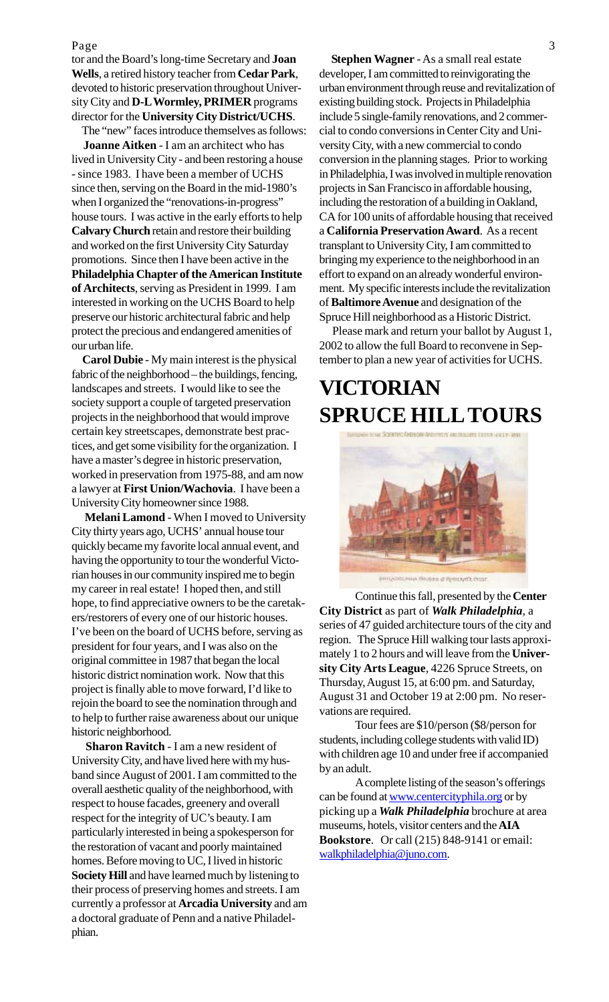Page 3

tor and the Board's long-time Secretary and **Joan Wells**, a retired history teacher from **Cedar Park**, devoted to historic preservation throughout University City and **D-L Wormley, PRIMER** programs director for the **University City District/UCHS**.

 The "new" faces introduce themselves as follows: **Joanne Aitken** - I am an architect who has lived in University City - and been restoring a house - since 1983. I have been a member of UCHS since then, serving on the Board in the mid-1980's when I organized the "renovations-in-progress" house tours. I was active in the early efforts to help **Calvary Church** retain and restore their building and worked on the first University City Saturday promotions. Since then I have been active in the **Philadelphia Chapter of the American Institute of Architects**, serving as President in 1999. I am interested in working on the UCHS Board to help preserve our historic architectural fabric and help protect the precious and endangered amenities of our urban life.

 **Carol Dubie** - My main interest is the physical fabric of the neighborhood – the buildings, fencing, landscapes and streets. I would like to see the society support a couple of targeted preservation projects in the neighborhood that would improve certain key streetscapes, demonstrate best practices, and get some visibility for the organization. I have a master's degree in historic preservation, worked in preservation from 1975-88, and am now a lawyer at **First Union/Wachovia**. I have been a University City homeowner since 1988.

 **Melani Lamond** - When I moved to University City thirty years ago, UCHS' annual house tour quickly became my favorite local annual event, and having the opportunity to tour the wonderful Victorian houses in our community inspired me to begin my career in real estate! I hoped then, and still hope, to find appreciative owners to be the caretakers/restorers of every one of our historic houses. I've been on the board of UCHS before, serving as president for four years, and I was also on the original committee in 1987 that began the local historic district nomination work. Now that this project is finally able to move forward, I'd like to rejoin the board to see the nomination through and to help to further raise awareness about our unique historic neighborhood.

 **Sharon Ravitch** - I am a new resident of University City, and have lived here with my husband since August of 2001. I am committed to the overall aesthetic quality of the neighborhood, with respect to house facades, greenery and overall respect for the integrity of UC's beauty. I am particularly interested in being a spokesperson for the restoration of vacant and poorly maintained homes. Before moving to UC, I lived in historic **Society Hill** and have learned much by listening to their process of preserving homes and streets. I am currently a professor at **Arcadia University** and am a doctoral graduate of Penn and a native Philadelphian.

 **Stephen Wagner** - As a small real estate developer, I am committed to reinvigorating the urban environment through reuse and revitalization of existing building stock. Projects in Philadelphia include 5 single-family renovations, and 2 commercial to condo conversions in Center City and University City, with a new commercial to condo conversion in the planning stages. Prior to working in Philadelphia, I was involved in multiple renovation projects in San Francisco in affordable housing, including the restoration of a building in Oakland, CA for 100 units of affordable housing that received a **California Preservation Award**. As a recent transplant to University City, I am committed to bringing my experience to the neighborhood in an effort to expand on an already wonderful environment. My specific interests include the revitalization of **Baltimore Avenue** and designation of the Spruce Hill neighborhood as a Historic District.

 Please mark and return your ballot by August 1, 2002 to allow the full Board to reconvene in September to plan a new year of activities for UCHS.

# **SPRUCE HILL TOURS VICTORIAN**



Continue this fall, presented by the **Center City District** as part of *Walk Philadelphia*, a series of 47 guided architecture tours of the city and region. The Spruce Hill walking tour lasts approximately 1 to 2 hours and will leave from the **University City Arts League**, 4226 Spruce Streets, on Thursday, August 15, at 6:00 pm. and Saturday, August 31 and October 19 at 2:00 pm. No reservations are required.

Tour fees are \$10/person (\$8/person for students, including college students with valid ID) with children age 10 and under free if accompanied by an adult.

A complete listing of the season's offerings can be found at <u>www.centercityphila.org</u> or by picking up a *Walk Philadelphia* brochure at area museums, hotels, visitor centers and the **AIA Bookstore**. Or call (215) 848-9141 or email: walkphiladelphia@juno.com.